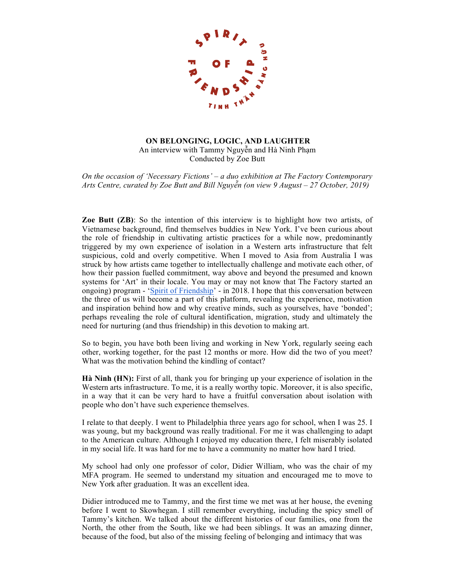

## **ON BELONGING, LOGIC, AND LAUGHTER** An interview with Tammy Nguyễn and Hà Ninh Phạm Conducted by Zoe Butt

*On the occasion of 'Necessary Fictions' – a duo exhibition at The Factory Contemporary Arts Centre, curated by Zoe Butt and Bill Nguyễn (on view 9 August – 27 October, 2019)*

**Zoe Butt (ZB)**: So the intention of this interview is to highlight how two artists, of Vietnamese background, find themselves buddies in New York. I've been curious about the role of friendship in cultivating artistic practices for a while now, predominantly triggered by my own experience of isolation in a Western arts infrastructure that felt suspicious, cold and overly competitive. When I moved to Asia from Australia I was struck by how artists came together to intellectually challenge and motivate each other, of how their passion fuelled commitment, way above and beyond the presumed and known systems for 'Art' in their locale. You may or may not know that The Factory started an ongoing) program - 'Spirit of Friendship' - in 2018. I hope that this conversation between the three of us will become a part of this platform, revealing the experience, motivation and inspiration behind how and why creative minds, such as yourselves, have 'bonded'; perhaps revealing the role of cultural identification, migration, study and ultimately the need for nurturing (and thus friendship) in this devotion to making art.

So to begin, you have both been living and working in New York, regularly seeing each other, working together, for the past 12 months or more. How did the two of you meet? What was the motivation behind the kindling of contact?

**Hà Ninh (HN):** First of all, thank you for bringing up your experience of isolation in the Western arts infrastructure. To me, it is a really worthy topic. Moreover, it is also specific, in a way that it can be very hard to have a fruitful conversation about isolation with people who don't have such experience themselves.

I relate to that deeply. I went to Philadelphia three years ago for school, when I was 25. I was young, but my background was really traditional. For me it was challenging to adapt to the American culture. Although I enjoyed my education there, I felt miserably isolated in my social life. It was hard for me to have a community no matter how hard I tried.

My school had only one professor of color, Didier William, who was the chair of my MFA program. He seemed to understand my situation and encouraged me to move to New York after graduation. It was an excellent idea.

Didier introduced me to Tammy, and the first time we met was at her house, the evening before I went to Skowhegan. I still remember everything, including the spicy smell of Tammy's kitchen. We talked about the different histories of our families, one from the North, the other from the South, like we had been siblings. It was an amazing dinner, because of the food, but also of the missing feeling of belonging and intimacy that was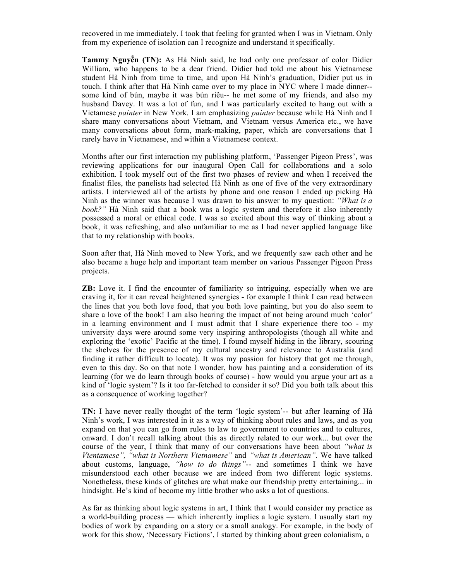recovered in me immediately. I took that feeling for granted when I was in Vietnam. Only from my experience of isolation can I recognize and understand itspecifically.

**Tammy Nguyễn (TN):** As Hà Ninh said, he had only one professor of color Didier William, who happens to be a dear friend. Didier had told me about his Vietnamese student Hà Ninh from time to time, and upon Hà Ninh's graduation, Didier put us in touch. I think after that Hà Ninh came over to my place in NYC where I made dinner- some kind of bún, maybe it was bún riêu-- he met some of my friends, and also my husband Davey. It was a lot of fun, and I was particularly excited to hang out with a Vietamese *painter* in New York. I am emphasizing *painter* because while Hà Ninh and I share many conversations about Vietnam, and Vietnam versus America etc., we have many conversations about form, mark-making, paper, which are conversations that I rarely have in Vietnamese, and within a Vietnamese context.

Months after our first interaction my publishing platform, 'Passenger Pigeon Press', was reviewing applications for our inaugural Open Call for collaborations and a solo exhibition. I took myself out of the first two phases of review and when I received the finalist files, the panelists had selected Hà Ninh as one of five of the very extraordinary artists. I interviewed all of the artists by phone and one reason I ended up picking Hà Ninh as the winner was because I was drawn to his answer to my question: *"What is a book?"* Hà Ninh said that a book was a logic system and therefore it also inherently possessed a moral or ethical code. I was so excited about this way of thinking about a book, it was refreshing, and also unfamiliar to me as I had never applied language like that to my relationship with books.

Soon after that, Hà Ninh moved to New York, and we frequently saw each other and he also became a huge help and important team member on various Passenger Pigeon Press projects.

**ZB:** Love it. I find the encounter of familiarity so intriguing, especially when we are craving it, for it can reveal heightened synergies - for example I think I can read between the lines that you both love food, that you both love painting, but you do also seem to share a love of the book! I am also hearing the impact of not being around much 'color' in a learning environment and I must admit that I share experience there too - my university days were around some very inspiring anthropologists (though all white and exploring the 'exotic' Pacific at the time). I found myself hiding in the library, scouring the shelves for the presence of my cultural ancestry and relevance to Australia (and finding it rather difficult to locate). It was my passion for history that got me through, even to this day. So on that note I wonder, how has painting and a consideration of its learning (for we do learn through books of course) - how would you argue your art as a kind of 'logic system'? Is it too far-fetched to consider it so? Did you both talk about this as a consequence of working together?

**TN:** I have never really thought of the term 'logic system'-- but after learning of Hà Ninh's work, I was interested in it as a way of thinking about rules and laws, and as you expand on that you can go from rules to law to government to countries and to cultures, onward. I don't recall talking about this as directly related to our work... but over the course of the year, I think that many of our conversations have been about *"what is Vientamese", "what is Northern Vietnamese"* and *"what is American"*. We have talked about customs, language, *"how to do things"*-- and sometimes I think we have misunderstood each other because we are indeed from two different logic systems. Nonetheless, these kinds of glitches are what make our friendship pretty entertaining... in hindsight. He's kind of become my little brother who asks a lot of questions.

As far as thinking about logic systems in art, I think that I would consider my practice as a world-building process — which inherently implies a logic system. I usually start my bodies of work by expanding on a story or a small analogy. For example, in the body of work for this show, 'Necessary Fictions', I started by thinking about green colonialism, a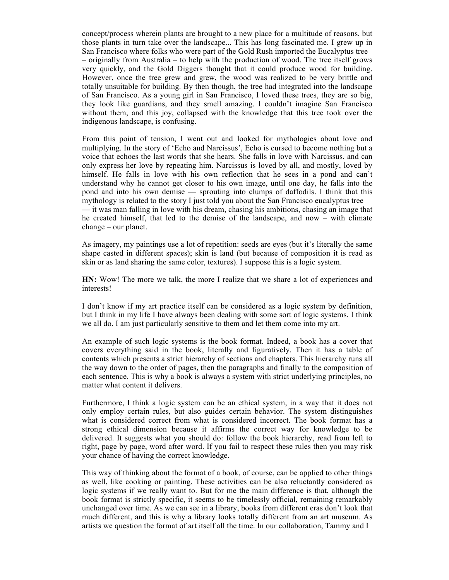concept/process wherein plants are brought to a new place for a multitude of reasons, but those plants in turn take over the landscape... This has long fascinated me. I grew up in San Francisco where folks who were part of the Gold Rush imported the Eucalyptus tree – originally from Australia – to help with the production of wood. The tree itself grows very quickly, and the Gold Diggers thought that it could produce wood for building. However, once the tree grew and grew, the wood was realized to be very brittle and totally unsuitable for building. By then though, the tree had integrated into the landscape of San Francisco. As a young girl in San Francisco, I loved these trees, they are so big, they look like guardians, and they smell amazing. I couldn't imagine San Francisco without them, and this joy, collapsed with the knowledge that this tree took over the indigenous landscape, is confusing.

From this point of tension, I went out and looked for mythologies about love and multiplying. In the story of 'Echo and Narcissus', Echo is cursed to become nothing but a voice that echoes the last words that she hears. She falls in love with Narcissus, and can only express her love by repeating him. Narcissus is loved by all, and mostly, loved by himself. He falls in love with his own reflection that he sees in a pond and can't understand why he cannot get closer to his own image, until one day, he falls into the pond and into his own demise — sprouting into clumps of daffodils. I think that this mythology is related to the story I just told you about the San Francisco eucalyptus tree — it was man falling in love with his dream, chasing his ambitions, chasing an image that he created himself, that led to the demise of the landscape, and now – with climate change – our planet.

As imagery, my paintings use a lot of repetition: seeds are eyes (but it's literally the same shape casted in different spaces); skin is land (but because of composition it is read as skin or as land sharing the same color, textures). I suppose this is a logic system.

**HN:** Wow! The more we talk, the more I realize that we share a lot of experiences and interests!

I don't know if my art practice itself can be considered as a logic system by definition, but I think in my life I have always been dealing with some sort of logic systems. I think we all do. I am just particularly sensitive to them and let them come into my art.

An example of such logic systems is the book format. Indeed, a book has a cover that covers everything said in the book, literally and figuratively. Then it has a table of contents which presents a strict hierarchy of sections and chapters. This hierarchy runs all the way down to the order of pages, then the paragraphs and finally to the composition of each sentence. This is why a book is always a system with strict underlying principles, no matter what content it delivers.

Furthermore, I think a logic system can be an ethical system, in a way that it does not only employ certain rules, but also guides certain behavior. The system distinguishes what is considered correct from what is considered incorrect. The book format has a strong ethical dimension because it affirms the correct way for knowledge to be delivered. It suggests what you should do: follow the book hierarchy, read from left to right, page by page, word after word. If you fail to respect these rules then you may risk your chance of having the correct knowledge.

This way of thinking about the format of a book, of course, can be applied to other things as well, like cooking or painting. These activities can be also reluctantly considered as logic systems if we really want to. But for me the main difference is that, although the book format is strictly specific, it seems to be timelessly official, remaining remarkably unchanged over time. As we can see in a library, books from different eras don't look that much different, and this is why a library looks totally different from an art museum. As artists we question the format of art itself all the time. In our collaboration, Tammy and I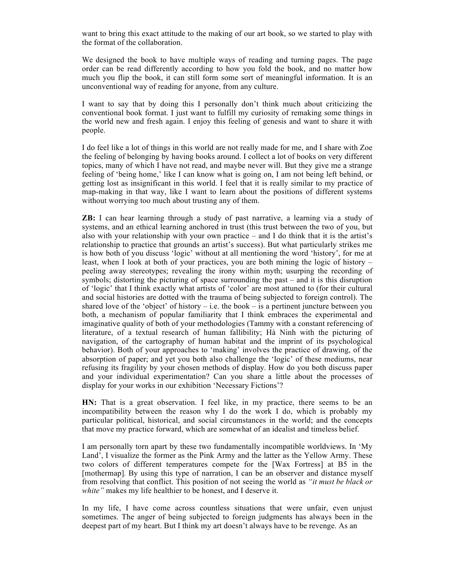want to bring this exact attitude to the making of our art book, so we started to play with the format of the collaboration.

We designed the book to have multiple ways of reading and turning pages. The page order can be read differently according to how you fold the book, and no matter how much you flip the book, it can still form some sort of meaningful information. It is an unconventional way of reading for anyone, from any culture.

I want to say that by doing this I personally don't think much about criticizing the conventional book format. I just want to fulfill my curiosity of remaking some things in the world new and fresh again. I enjoy this feeling of genesis and want to share it with people.

I do feel like a lot of things in this world are not really made for me, and I share with Zoe the feeling of belonging by having books around. I collect a lot of books on very different topics, many of which I have not read, and maybe never will. But they give me a strange feeling of 'being home,' like I can know what is going on, I am not being left behind, or getting lost as insignificant in this world. I feel that it is really similar to my practice of map-making in that way, like I want to learn about the positions of different systems without worrying too much about trusting any of them.

**ZB:** I can hear learning through a study of past narrative, a learning via a study of systems, and an ethical learning anchored in trust (this trust between the two of you, but also with your relationship with your own practice – and I do think that it is the artist's relationship to practice that grounds an artist's success). But what particularly strikes me is how both of you discuss 'logic' without at all mentioning the word 'history', for me at least, when I look at both of your practices, you are both mining the logic of history – peeling away stereotypes; revealing the irony within myth; usurping the recording of symbols; distorting the picturing of space surrounding the past – and it is this disruption of 'logic' that I think exactly what artists of 'color' are most attuned to (for their cultural and social histories are dotted with the trauma of being subjected to foreign control). The shared love of the 'object' of history – i.e. the book – is a pertinent juncture between you both, a mechanism of popular familiarity that I think embraces the experimental and imaginative quality of both of your methodologies (Tammy with a constant referencing of literature, of a textual research of human fallibility; Hà Ninh with the picturing of navigation, of the cartography of human habitat and the imprint of its psychological behavior). Both of your approaches to 'making' involves the practice of drawing, of the absorption of paper; and yet you both also challenge the 'logic' of these mediums, near refusing its fragility by your chosen methods of display. How do you both discuss paper and your individual experimentation? Can you share a little about the processes of display for your works in our exhibition 'Necessary Fictions'?

**HN:** That is a great observation. I feel like, in my practice, there seems to be an incompatibility between the reason why I do the work I do, which is probably my particular political, historical, and social circumstances in the world; and the concepts that move my practice forward, which are somewhat of an idealist and timeless belief.

I am personally torn apart by these two fundamentally incompatible worldviews. In 'My Land', I visualize the former as the Pink Army and the latter as the Yellow Army. These two colors of different temperatures compete for the [Wax Fortress] at B5 in the [mothermap]*.* By using this type of narration, I can be an observer and distance myself from resolving that conflict. This position of not seeing the world as *"it must be black or white"* makes my life healthier to be honest, and I deserve it.

In my life, I have come across countless situations that were unfair, even unjust sometimes. The anger of being subjected to foreign judgments has always been in the deepest part of my heart. But I think my art doesn't always have to be revenge. As an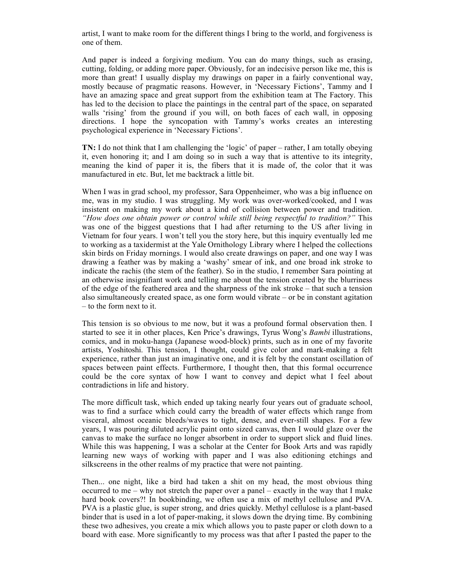artist, I want to make room for the different things I bring to the world, and forgiveness is one of them.

And paper is indeed a forgiving medium. You can do many things, such as erasing, cutting, folding, or adding more paper. Obviously, for an indecisive person like me, this is more than great! I usually display my drawings on paper in a fairly conventional way, mostly because of pragmatic reasons. However, in 'Necessary Fictions', Tammy and I have an amazing space and great support from the exhibition team at The Factory. This has led to the decision to place the paintings in the central part of the space, on separated walls 'rising' from the ground if you will, on both faces of each wall, in opposing directions. I hope the syncopation with Tammy's works creates an interesting psychological experience in 'Necessary Fictions'.

**TN:** I do not think that I am challenging the 'logic' of paper – rather, I am totally obeying it, even honoring it; and I am doing so in such a way that is attentive to its integrity, meaning the kind of paper it is, the fibers that it is made of, the color that it was manufactured in etc. But, let me backtrack a little bit.

When I was in grad school, my professor, Sara Oppenheimer, who was a big influence on me, was in my studio. I was struggling. My work was over-worked/cooked, and I was insistent on making my work about a kind of collision between power and tradition. *"How does one obtain power or control while still being respectful to tradition?"* This was one of the biggest questions that I had after returning to the US after living in Vietnam for four years. I won't tell you the story here, but this inquiry eventually led me to working as a taxidermist at the Yale Ornithology Library where I helped the collections skin birds on Friday mornings. I would also create drawings on paper, and one way I was drawing a feather was by making a 'washy' smear of ink, and one broad ink stroke to indicate the rachis (the stem of the feather). So in the studio, I remember Sara pointing at an otherwise insignifiant work and telling me about the tension created by the blurriness of the edge of the feathered area and the sharpness of the ink stroke – that such a tension also simultaneously created space, as one form would vibrate  $-$  or be in constant agitation – to the form next to it.

This tension is so obvious to me now, but it was a profound formal observation then. I started to see it in other places, Ken Price's drawings, Tyrus Wong's *Bambi* illustrations, comics, and in moku-hanga (Japanese wood-block) prints, such as in one of my favorite artists, Yoshitoshi. This tension, I thought, could give color and mark-making a felt experience, rather than just an imaginative one, and it is felt by the constant oscillation of spaces between paint effects. Furthermore, I thought then, that this formal occurrence could be the core syntax of how I want to convey and depict what I feel about contradictions in life and history.

The more difficult task, which ended up taking nearly four years out of graduate school, was to find a surface which could carry the breadth of water effects which range from visceral, almost oceanic bleeds/waves to tight, dense, and ever-still shapes. For a few years, I was pouring diluted acrylic paint onto sized canvas, then I would glaze over the canvas to make the surface no longer absorbent in order to support slick and fluid lines. While this was happening, I was a scholar at the Center for Book Arts and was rapidly learning new ways of working with paper and I was also editioning etchings and silkscreens in the other realms of my practice that were not painting.

Then... one night, like a bird had taken a shit on my head, the most obvious thing occurred to me – why not stretch the paper over a panel – exactly in the way that I make hard book covers?! In bookbinding, we often use a mix of methyl cellulose and PVA. PVA is a plastic glue, is super strong, and dries quickly. Methyl cellulose is a plant-based binder that is used in a lot of paper-making, it slows down the drying time. By combining these two adhesives, you create a mix which allows you to paste paper or cloth down to a board with ease. More significantly to my process was that after I pasted the paper to the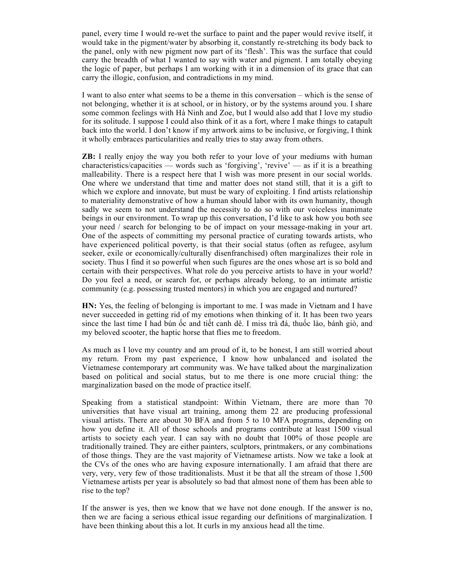panel, every time I would re-wet the surface to paint and the paper would revive itself, it would take in the pigment/water by absorbing it, constantly re-stretching its body back to the panel, only with new pigment now part of its 'flesh'. This was the surface that could carry the breadth of what I wanted to say with water and pigment. I am totally obeying the logic of paper, but perhaps I am working with it in a dimension of its grace that can carry the illogic, confusion, and contradictions in my mind.

I want to also enter what seems to be a theme in this conversation – which is the sense of not belonging, whether it is at school, or in history, or by the systems around you. I share some common feelings with Hà Ninh and Zoe, but I would also add that I love my studio for its solitude. I suppose I could also think of it as a fort, where I make things to catapult back into the world. I don't know if my artwork aims to be inclusive, or forgiving, I think it wholly embraces particularities and really tries to stay away from others.

**ZB:** I really enjoy the way you both refer to your love of your mediums with human characteristics/capacities — words such as 'forgiving', 'revive' — as if it is a breathing malleability. There is a respect here that I wish was more present in our social worlds. One where we understand that time and matter does not stand still, that it is a gift to which we explore and innovate, but must be wary of exploiting. I find artists relationship to materiality demonstrative of how a human should labor with its own humanity, though sadly we seem to not understand the necessity to do so with our voiceless inanimate beings in our environment. To wrap up this conversation, I'd like to ask how you both see your need / search for belonging to be of impact on your message-making in your art. One of the aspects of committing my personal practice of curating towards artists, who have experienced political poverty, is that their social status (often as refugee, asylum seeker, exile or economically/culturally disenfranchised) often marginalizes their role in society. Thus I find it so powerful when such figures are the ones whose art is so bold and certain with their perspectives. What role do you perceive artists to have in your world? Do you feel a need, or search for, or perhaps already belong, to an intimate artistic community (e.g. possessing trusted mentors) in which you are engaged and nurtured?

HN: Yes, the feeling of belonging is important to me. I was made in Vietnam and I have never succeeded in getting rid of my emotions when thinking of it. It has been two years since the last time I had bún ốc and tiết canh dê. I miss trà đá, thuốc lào, bánh giò, and my beloved scooter, the haptic horse that flies me to freedom.

As much as I love my country and am proud of it, to be honest, I am still worried about my return. From my past experience, I know how unbalanced and isolated the Vietnamese contemporary art community was. We have talked about the marginalization based on political and social status, but to me there is one more crucial thing: the marginalization based on the mode of practice itself.

Speaking from a statistical standpoint: Within Vietnam, there are more than 70 universities that have visual art training, among them 22 are producing professional visual artists. There are about 30 BFA and from 5 to 10 MFA programs, depending on how you define it. All of those schools and programs contribute at least 1500 visual artists to society each year. I can say with no doubt that 100% of those people are traditionally trained. They are either painters, sculptors, printmakers, or any combinations of those things. They are the vast majority of Vietnamese artists. Now we take a look at the CVs of the ones who are having exposure internationally. I am afraid that there are very, very, very few of those traditionalists. Must it be that all the stream of those 1,500 Vietnamese artists per year is absolutely so bad that almost none of them has been able to rise to the top?

If the answer is yes, then we know that we have not done enough. If the answer is no, then we are facing a serious ethical issue regarding our definitions of marginalization. I have been thinking about this a lot. It curls in my anxious head all the time.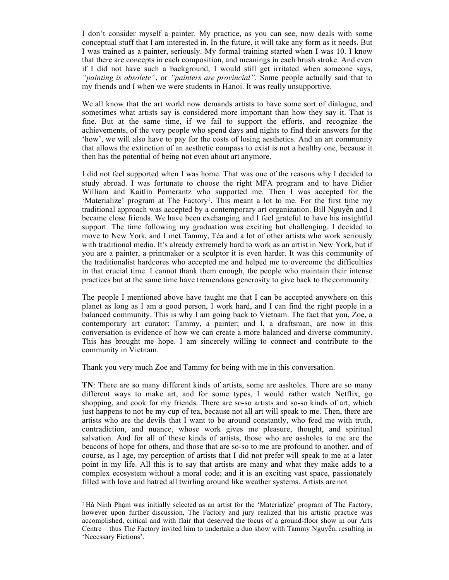I don't consider myself a painter. My practice, as you can see, now deals with some conceptual stuff that I am interested in. In the future, it will take any form as it needs. But I was trained as a painter, seriously. My formal training started when I was 10. I know that there are concepts in each composition, and meanings in each brush stroke. And even if I did not have such a background, I would still get irritated when someone says, *"painting is obsolete"*, or *"painters are provincial"*. Some people actually said that to my friends and I when we were students in Hanoi. It was really unsupportive.

We all know that the art world now demands artists to have some sort of dialogue, and sometimes what artists say is considered more important than how they say it. That is fine. But at the same time, if we fail to support the efforts, and recognize the achievements, of the very people who spend days and nights to find their answers for the 'how', we will also have to pay for the costs of losing aesthetics. And an art community that allows the extinction of an aesthetic compass to exist is not a healthy one, because it then has the potential of being not even about art anymore.

I did not feel supported when I was home. That was one of the reasons why I decided to study abroad. I was fortunate to choose the right MFA program and to have Didier William and Kaitlin Pomerantz who supported me. Then I was accepted for the 'Materialize' program at The Factory1. This meant a lot to me. For the first time my traditional approach was accepted by a contemporary art organization. Bill Nguyễn and I became close friends. We have been exchanging and I feel grateful to have his insightful support. The time following my graduation was exciting but challenging. I decided to move to New York, and I met Tammy, Téa and a lot of other artists who work seriously with traditional media. It's already extremely hard to work as an artist in New York, but if you are a painter, a printmaker or a sculptor it is even harder. It was this community of the traditionalist hardcores who accepted me and helped me to overcome the difficulties in that crucial time. I cannot thank them enough, the people who maintain their intense practices but at the same time have tremendous generosity to give back to thecommunity.

The people I mentioned above have taught me that I can be accepted anywhere on this planet as long as I am a good person, I work hard, and I can find the right people in a balanced community. This is why I am going back to Vietnam. The fact that you, Zoe, a contemporary art curator; Tammy, a painter; and I, a draftsman, are now in this conversation is evidence of how we can create a more balanced and diverse community. This has brought me hope. I am sincerely willing to connect and contribute to the community in Vietnam.

Thank you very much Zoe and Tammy for being with me in this conversation.

**TN**: There are so many different kinds of artists, some are assholes. There are so many different ways to make art, and for some types, I would rather watch Netflix, go shopping, and cook for my friends. There are so-so artists and so-so kinds of art, which just happens to not be my cup of tea, because not all art will speak to me. Then, there are artists who are the devils that I want to be around constantly, who feed me with truth, contradiction, and nuance, whose work gives me pleasure, thought, and spiritual salvation. And for all of these kinds of artists, those who are assholes to me are the beacons of hope for others, and those that are so-so to me are profound to another, and of course, as I age, my perception of artists that I did not prefer will speak to me at a later point in my life. All this is to say that artists are many and what they make adds to a complex ecosystem without a moral code; and it is an exciting vast space, passionately filled with love and hatred all twirling around like weather systems. Artists are not

<sup>1</sup> Hà Ninh Phạm was initially selected as an artist for the 'Materialize' program of The Factory, however upon further discussion, The Factory and jury realized that his artistic practice was accomplished, critical and with flair that deserved the focus of a ground-floor show in our Arts Centre – thus The Factory invited him to undertake a duo show with Tammy Nguyễn, resulting in 'Necessary Fictions'.